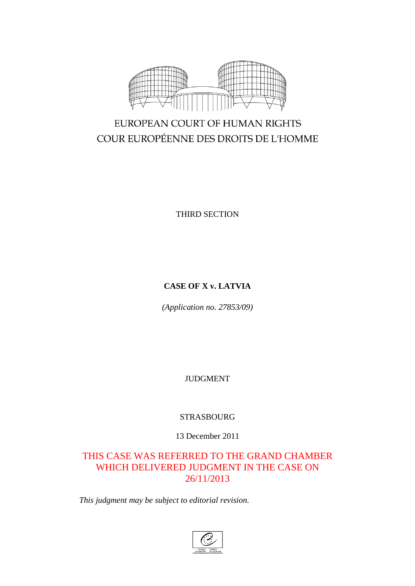

# EUROPEAN COURT OF HUMAN RIGHTS COUR EUROPÉENNE DES DROITS DE L'HOMME

THIRD SECTION

## **CASE OF X v. LATVIA**

*(Application no. 27853/09)*

JUDGMENT

## STRASBOURG

13 December 2011

## THIS CASE WAS REFERRED TO THE GRAND CHAMBER WHICH DELIVERED JUDGMENT IN THE CASE ON 26/11/2013

*This judgment may be subject to editorial revision.*

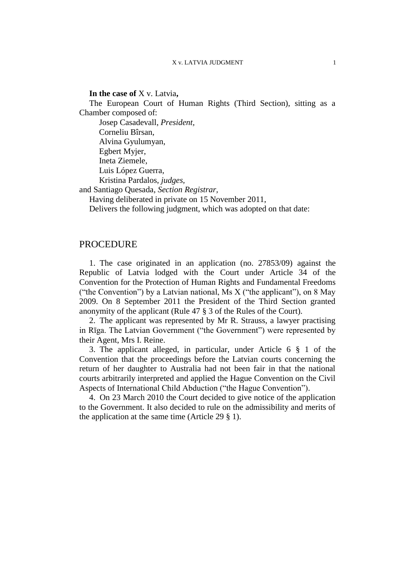**In the case of** X v. Latvia**,** The European Court of Human Rights (Third Section), sitting as a Chamber composed of: Josep Casadevall, *President,* Corneliu Bîrsan, Alvina Gyulumyan, Egbert Myjer, Ineta Ziemele, Luis López Guerra, Kristina Pardalos, *judges,* and Santiago Quesada, *Section Registrar,* Having deliberated in private on 15 November 2011,

Delivers the following judgment, which was adopted on that date:

## PROCEDURE

1. The case originated in an application (no. 27853/09) against the Republic of Latvia lodged with the Court under Article 34 of the Convention for the Protection of Human Rights and Fundamental Freedoms ("the Convention") by a Latvian national, Ms X ("the applicant"), on 8 May 2009. On 8 September 2011 the President of the Third Section granted anonymity of the applicant (Rule 47 § 3 of the Rules of the Court).

2. The applicant was represented by Mr R. Strauss, a lawyer practising in Rīga. The Latvian Government ("the Government") were represented by their Agent, Mrs I. Reine.

3. The applicant alleged, in particular, under Article 6 § 1 of the Convention that the proceedings before the Latvian courts concerning the return of her daughter to Australia had not been fair in that the national courts arbitrarily interpreted and applied the Hague Convention on the Civil Aspects of International Child Abduction ("the Hague Convention").

4. On 23 March 2010 the Court decided to give notice of the application to the Government. It also decided to rule on the admissibility and merits of the application at the same time (Article 29 § 1).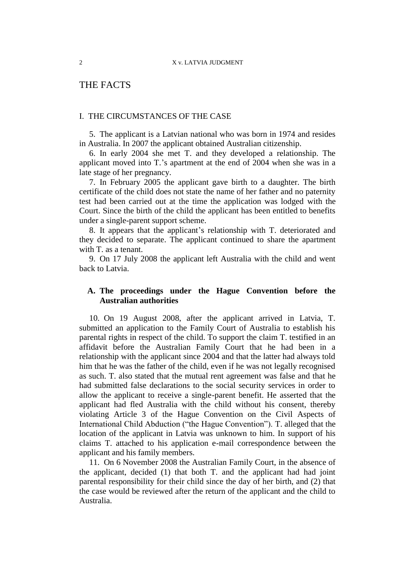## THE FACTS

## I. THE CIRCUMSTANCES OF THE CASE

5. The applicant is a Latvian national who was born in 1974 and resides in Australia. In 2007 the applicant obtained Australian citizenship.

6. In early 2004 she met T. and they developed a relationship. The applicant moved into T.'s apartment at the end of 2004 when she was in a late stage of her pregnancy.

7. In February 2005 the applicant gave birth to a daughter. The birth certificate of the child does not state the name of her father and no paternity test had been carried out at the time the application was lodged with the Court. Since the birth of the child the applicant has been entitled to benefits under a single-parent support scheme.

8. It appears that the applicant's relationship with T. deteriorated and they decided to separate. The applicant continued to share the apartment with T. as a tenant.

9. On 17 July 2008 the applicant left Australia with the child and went back to Latvia.

## **A. The proceedings under the Hague Convention before the Australian authorities**

10. On 19 August 2008, after the applicant arrived in Latvia, T. submitted an application to the Family Court of Australia to establish his parental rights in respect of the child. To support the claim T. testified in an affidavit before the Australian Family Court that he had been in a relationship with the applicant since 2004 and that the latter had always told him that he was the father of the child, even if he was not legally recognised as such. T. also stated that the mutual rent agreement was false and that he had submitted false declarations to the social security services in order to allow the applicant to receive a single-parent benefit. He asserted that the applicant had fled Australia with the child without his consent, thereby violating Article 3 of the Hague Convention on the Civil Aspects of International Child Abduction ("the Hague Convention"). T. alleged that the location of the applicant in Latvia was unknown to him. In support of his claims T. attached to his application e-mail correspondence between the applicant and his family members.

11. On 6 November 2008 the Australian Family Court, in the absence of the applicant, decided (1) that both T. and the applicant had had joint parental responsibility for their child since the day of her birth, and (2) that the case would be reviewed after the return of the applicant and the child to Australia.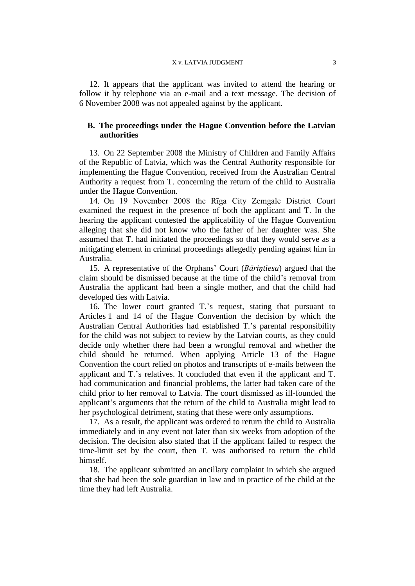12. It appears that the applicant was invited to attend the hearing or follow it by telephone via an e-mail and a text message. The decision of 6 November 2008 was not appealed against by the applicant.

## **B. The proceedings under the Hague Convention before the Latvian authorities**

13. On 22 September 2008 the Ministry of Children and Family Affairs of the Republic of Latvia, which was the Central Authority responsible for implementing the Hague Convention, received from the Australian Central Authority a request from T. concerning the return of the child to Australia under the Hague Convention.

14. On 19 November 2008 the Rīga City Zemgale District Court examined the request in the presence of both the applicant and T. In the hearing the applicant contested the applicability of the Hague Convention alleging that she did not know who the father of her daughter was. She assumed that T. had initiated the proceedings so that they would serve as a mitigating element in criminal proceedings allegedly pending against him in Australia.

15. A representative of the Orphans' Court (*Bāriņtiesa*) argued that the claim should be dismissed because at the time of the child's removal from Australia the applicant had been a single mother, and that the child had developed ties with Latvia.

16. The lower court granted T.'s request, stating that pursuant to Articles 1 and 14 of the Hague Convention the decision by which the Australian Central Authorities had established T.'s parental responsibility for the child was not subject to review by the Latvian courts, as they could decide only whether there had been a wrongful removal and whether the child should be returned. When applying Article 13 of the Hague Convention the court relied on photos and transcripts of e-mails between the applicant and T.'s relatives. It concluded that even if the applicant and T. had communication and financial problems, the latter had taken care of the child prior to her removal to Latvia. The court dismissed as ill-founded the applicant's arguments that the return of the child to Australia might lead to her psychological detriment, stating that these were only assumptions.

17. As a result, the applicant was ordered to return the child to Australia immediately and in any event not later than six weeks from adoption of the decision. The decision also stated that if the applicant failed to respect the time-limit set by the court, then T. was authorised to return the child himself.

18. The applicant submitted an ancillary complaint in which she argued that she had been the sole guardian in law and in practice of the child at the time they had left Australia.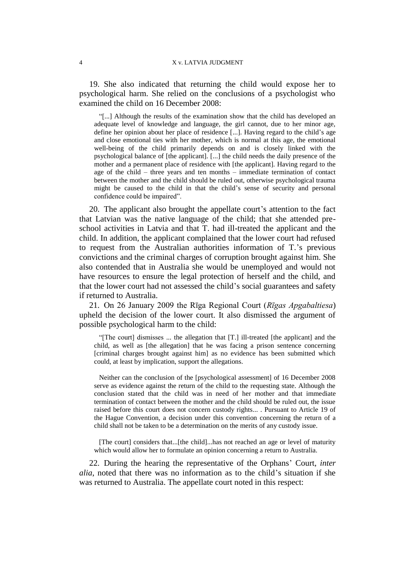19. She also indicated that returning the child would expose her to psychological harm. She relied on the conclusions of a psychologist who examined the child on 16 December 2008:

"[...] Although the results of the examination show that the child has developed an adequate level of knowledge and language, the girl cannot, due to her minor age, define her opinion about her place of residence [...]. Having regard to the child's age and close emotional ties with her mother, which is normal at this age, the emotional well-being of the child primarily depends on and is closely linked with the psychological balance of [the applicant]. [...] the child needs the daily presence of the mother and a permanent place of residence with [the applicant]. Having regard to the age of the child – three years and ten months – immediate termination of contact between the mother and the child should be ruled out, otherwise psychological trauma might be caused to the child in that the child's sense of security and personal confidence could be impaired".

20. The applicant also brought the appellate court's attention to the fact that Latvian was the native language of the child; that she attended preschool activities in Latvia and that T. had ill-treated the applicant and the child. In addition, the applicant complained that the lower court had refused to request from the Australian authorities information of T.'s previous convictions and the criminal charges of corruption brought against him. She also contended that in Australia she would be unemployed and would not have resources to ensure the legal protection of herself and the child, and that the lower court had not assessed the child's social guarantees and safety if returned to Australia.

21. On 26 January 2009 the Rīga Regional Court (*Rīgas Apgabaltiesa*) upheld the decision of the lower court. It also dismissed the argument of possible psychological harm to the child:

"[The court] dismisses ... the allegation that [T.] ill-treated [the applicant] and the child, as well as [the allegation] that he was facing a prison sentence concerning [criminal charges brought against him] as no evidence has been submitted which could, at least by implication, support the allegations.

Neither can the conclusion of the [psychological assessment] of 16 December 2008 serve as evidence against the return of the child to the requesting state. Although the conclusion stated that the child was in need of her mother and that immediate termination of contact between the mother and the child should be ruled out, the issue raised before this court does not concern custody rights... . Pursuant to Article 19 of the Hague Convention, a decision under this convention concerning the return of a child shall not be taken to be a determination on the merits of any custody issue.

[The court] considers that...[the child]...has not reached an age or level of maturity which would allow her to formulate an opinion concerning a return to Australia.

22. During the hearing the representative of the Orphans' Court, *inter alia*, noted that there was no information as to the child's situation if she was returned to Australia. The appellate court noted in this respect: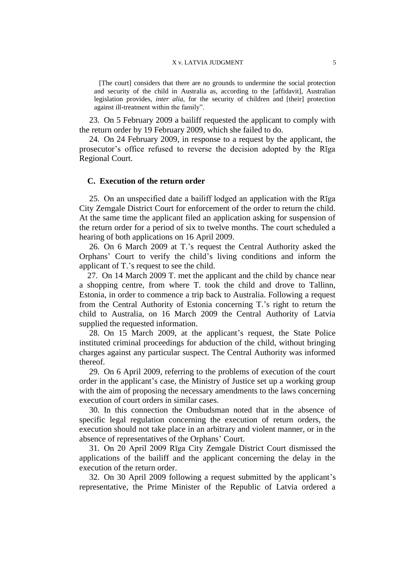[The court] considers that there are no grounds to undermine the social protection and security of the child in Australia as, according to the [affidavit], Australian legislation provides, *inter alia*, for the security of children and [their] protection against ill-treatment within the family".

23. On 5 February 2009 a bailiff requested the applicant to comply with the return order by 19 February 2009, which she failed to do.

24. On 24 February 2009, in response to a request by the applicant, the prosecutor's office refused to reverse the decision adopted by the Rīga Regional Court.

### **C. Execution of the return order**

25. On an unspecified date a bailiff lodged an application with the Rīga City Zemgale District Court for enforcement of the order to return the child. At the same time the applicant filed an application asking for suspension of the return order for a period of six to twelve months. The court scheduled a hearing of both applications on 16 April 2009.

26. On 6 March 2009 at T.'s request the Central Authority asked the Orphans' Court to verify the child's living conditions and inform the applicant of T.'s request to see the child.

27. On 14 March 2009 T. met the applicant and the child by chance near a shopping centre, from where T. took the child and drove to Tallinn, Estonia, in order to commence a trip back to Australia. Following a request from the Central Authority of Estonia concerning T.'s right to return the child to Australia, on 16 March 2009 the Central Authority of Latvia supplied the requested information.

28. On 15 March 2009, at the applicant's request, the State Police instituted criminal proceedings for abduction of the child, without bringing charges against any particular suspect. The Central Authority was informed thereof.

29. On 6 April 2009, referring to the problems of execution of the court order in the applicant's case, the Ministry of Justice set up a working group with the aim of proposing the necessary amendments to the laws concerning execution of court orders in similar cases.

30. In this connection the Ombudsman noted that in the absence of specific legal regulation concerning the execution of return orders, the execution should not take place in an arbitrary and violent manner, or in the absence of representatives of the Orphans' Court.

31. On 20 April 2009 Rīga City Zemgale District Court dismissed the applications of the bailiff and the applicant concerning the delay in the execution of the return order.

32. On 30 April 2009 following a request submitted by the applicant's representative, the Prime Minister of the Republic of Latvia ordered a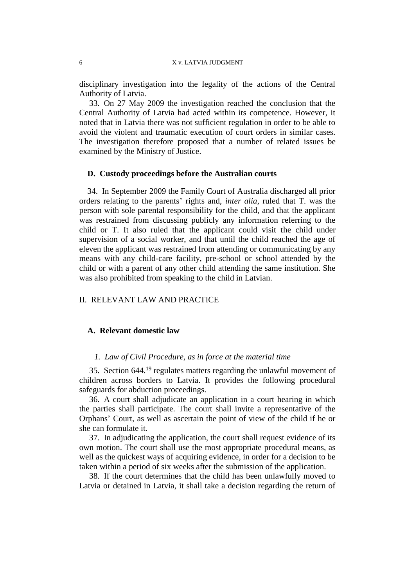disciplinary investigation into the legality of the actions of the Central Authority of Latvia.

33. On 27 May 2009 the investigation reached the conclusion that the Central Authority of Latvia had acted within its competence. However, it noted that in Latvia there was not sufficient regulation in order to be able to avoid the violent and traumatic execution of court orders in similar cases. The investigation therefore proposed that a number of related issues be examined by the Ministry of Justice.

#### **D. Custody proceedings before the Australian courts**

34. In September 2009 the Family Court of Australia discharged all prior orders relating to the parents' rights and, *inter alia*, ruled that T. was the person with sole parental responsibility for the child, and that the applicant was restrained from discussing publicly any information referring to the child or T. It also ruled that the applicant could visit the child under supervision of a social worker, and that until the child reached the age of eleven the applicant was restrained from attending or communicating by any means with any child-care facility, pre-school or school attended by the child or with a parent of any other child attending the same institution. She was also prohibited from speaking to the child in Latvian.

## II. RELEVANT LAW AND PRACTICE

## **A. Relevant domestic law**

## *1. Law of Civil Procedure, as in force at the material time*

35. Section 644.<sup>19</sup> regulates matters regarding the unlawful movement of children across borders to Latvia. It provides the following procedural safeguards for abduction proceedings.

36. A court shall adjudicate an application in a court hearing in which the parties shall participate. The court shall invite a representative of the Orphans' Court, as well as ascertain the point of view of the child if he or she can formulate it.

37. In adjudicating the application, the court shall request evidence of its own motion. The court shall use the most appropriate procedural means, as well as the quickest ways of acquiring evidence, in order for a decision to be taken within a period of six weeks after the submission of the application.

38. If the court determines that the child has been unlawfully moved to Latvia or detained in Latvia, it shall take a decision regarding the return of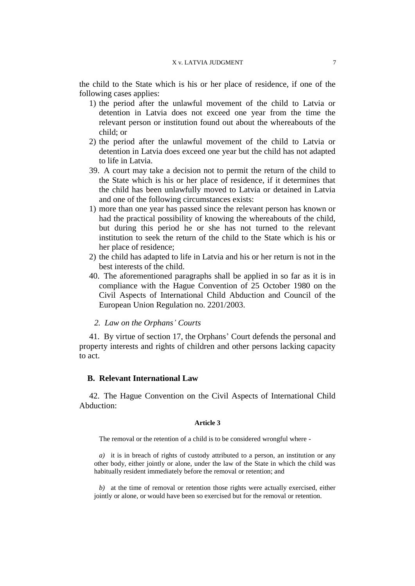the child to the State which is his or her place of residence, if one of the following cases applies:

- 1) the period after the unlawful movement of the child to Latvia or detention in Latvia does not exceed one year from the time the relevant person or institution found out about the whereabouts of the child; or
- 2) the period after the unlawful movement of the child to Latvia or detention in Latvia does exceed one year but the child has not adapted to life in Latvia.
- 39. A court may take a decision not to permit the return of the child to the State which is his or her place of residence, if it determines that the child has been unlawfully moved to Latvia or detained in Latvia and one of the following circumstances exists:
- 1) more than one year has passed since the relevant person has known or had the practical possibility of knowing the whereabouts of the child, but during this period he or she has not turned to the relevant institution to seek the return of the child to the State which is his or her place of residence;
- 2) the child has adapted to life in Latvia and his or her return is not in the best interests of the child.
- 40. The aforementioned paragraphs shall be applied in so far as it is in compliance with the Hague Convention of 25 October 1980 on the Civil Aspects of International Child Abduction and Council of the European Union Regulation no. 2201/2003.

### *2. Law on the Orphans' Courts*

41. By virtue of section 17, the Orphans' Court defends the personal and property interests and rights of children and other persons lacking capacity to act.

## **B. Relevant International Law**

42. The Hague Convention on the Civil Aspects of International Child Abduction:

#### **Article 3**

The removal or the retention of a child is to be considered wrongful where -

*a*) it is in breach of rights of custody attributed to a person, an institution or any other body, either jointly or alone, under the law of the State in which the child was habitually resident immediately before the removal or retention; and

*b)* at the time of removal or retention those rights were actually exercised, either jointly or alone, or would have been so exercised but for the removal or retention.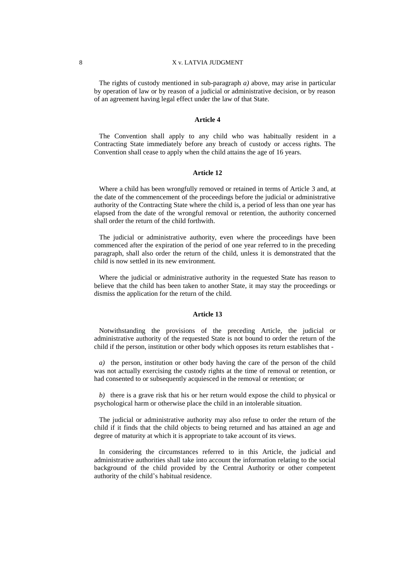The rights of custody mentioned in sub-paragraph *a)* above, may arise in particular by operation of law or by reason of a judicial or administrative decision, or by reason of an agreement having legal effect under the law of that State.

#### **Article 4**

The Convention shall apply to any child who was habitually resident in a Contracting State immediately before any breach of custody or access rights. The Convention shall cease to apply when the child attains the age of 16 years.

#### **Article 12**

Where a child has been wrongfully removed or retained in terms of Article 3 and, at the date of the commencement of the proceedings before the judicial or administrative authority of the Contracting State where the child is, a period of less than one year has elapsed from the date of the wrongful removal or retention, the authority concerned shall order the return of the child forthwith.

The judicial or administrative authority, even where the proceedings have been commenced after the expiration of the period of one year referred to in the preceding paragraph, shall also order the return of the child, unless it is demonstrated that the child is now settled in its new environment.

Where the judicial or administrative authority in the requested State has reason to believe that the child has been taken to another State, it may stay the proceedings or dismiss the application for the return of the child.

#### **Article 13**

Notwithstanding the provisions of the preceding Article, the judicial or administrative authority of the requested State is not bound to order the return of the child if the person, institution or other body which opposes its return establishes that -

*a)* the person, institution or other body having the care of the person of the child was not actually exercising the custody rights at the time of removal or retention, or had consented to or subsequently acquiesced in the removal or retention; or

*b)* there is a grave risk that his or her return would expose the child to physical or psychological harm or otherwise place the child in an intolerable situation.

The judicial or administrative authority may also refuse to order the return of the child if it finds that the child objects to being returned and has attained an age and degree of maturity at which it is appropriate to take account of its views.

In considering the circumstances referred to in this Article, the judicial and administrative authorities shall take into account the information relating to the social background of the child provided by the Central Authority or other competent authority of the child's habitual residence.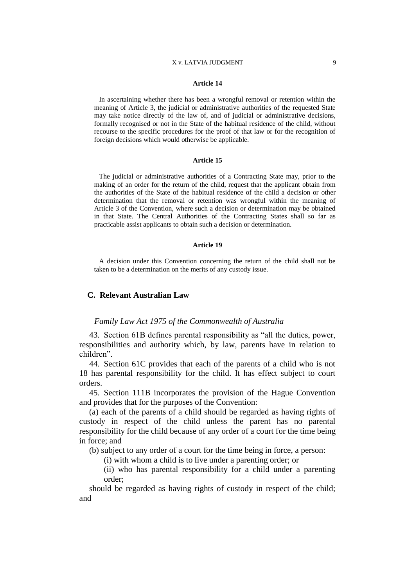#### **Article 14**

In ascertaining whether there has been a wrongful removal or retention within the meaning of Article 3, the judicial or administrative authorities of the requested State may take notice directly of the law of, and of judicial or administrative decisions, formally recognised or not in the State of the habitual residence of the child, without recourse to the specific procedures for the proof of that law or for the recognition of foreign decisions which would otherwise be applicable.

#### **Article 15**

The judicial or administrative authorities of a Contracting State may, prior to the making of an order for the return of the child, request that the applicant obtain from the authorities of the State of the habitual residence of the child a decision or other determination that the removal or retention was wrongful within the meaning of Article 3 of the Convention, where such a decision or determination may be obtained in that State. The Central Authorities of the Contracting States shall so far as practicable assist applicants to obtain such a decision or determination.

#### **Article 19**

A decision under this Convention concerning the return of the child shall not be taken to be a determination on the merits of any custody issue.

## **C. Relevant Australian Law**

## *Family Law Act 1975 of the Commonwealth of Australia*

43. Section 61B defines parental responsibility as "all the duties, power, responsibilities and authority which, by law, parents have in relation to children".

44. Section 61C provides that each of the parents of a child who is not 18 has parental responsibility for the child. It has effect subject to court orders.

45. Section 111B incorporates the provision of the Hague Convention and provides that for the purposes of the Convention:

(a) each of the parents of a child should be regarded as having rights of custody in respect of the child unless the parent has no parental responsibility for the child because of any order of a court for the time being in force; and

(b) subject to any order of a court for the time being in force, a person:

(i) with whom a child is to live under a parenting order; or

(ii) who has parental responsibility for a child under a parenting order;

should be regarded as having rights of custody in respect of the child; and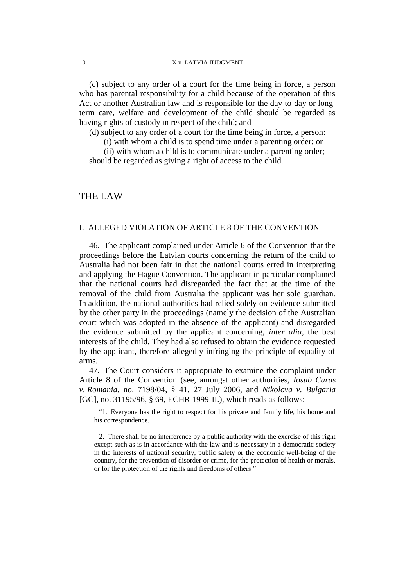(c) subject to any order of a court for the time being in force, a person who has parental responsibility for a child because of the operation of this Act or another Australian law and is responsible for the day-to-day or longterm care, welfare and development of the child should be regarded as having rights of custody in respect of the child; and

(d) subject to any order of a court for the time being in force, a person:

(i) with whom a child is to spend time under a parenting order; or

(ii) with whom a child is to communicate under a parenting order; should be regarded as giving a right of access to the child.

## THE LAW

### I. ALLEGED VIOLATION OF ARTICLE 8 OF THE CONVENTION

46. The applicant complained under Article 6 of the Convention that the proceedings before the Latvian courts concerning the return of the child to Australia had not been fair in that the national courts erred in interpreting and applying the Hague Convention. The applicant in particular complained that the national courts had disregarded the fact that at the time of the removal of the child from Australia the applicant was her sole guardian. In addition, the national authorities had relied solely on evidence submitted by the other party in the proceedings (namely the decision of the Australian court which was adopted in the absence of the applicant) and disregarded the evidence submitted by the applicant concerning, *inter alia*, the best interests of the child. They had also refused to obtain the evidence requested by the applicant, therefore allegedly infringing the principle of equality of arms.

47. The Court considers it appropriate to examine the complaint under Article 8 of the Convention (see, amongst other authorities, *Iosub Caras v. Romania*, no. 7198/04, § 41, 27 July 2006, and *Nikolova v. Bulgaria* [GC], no. 31195/96, § 69, ECHR 1999-II.), which reads as follows:

"1. Everyone has the right to respect for his private and family life, his home and his correspondence.

2. There shall be no interference by a public authority with the exercise of this right except such as is in accordance with the law and is necessary in a democratic society in the interests of national security, public safety or the economic well-being of the country, for the prevention of disorder or crime, for the protection of health or morals, or for the protection of the rights and freedoms of others."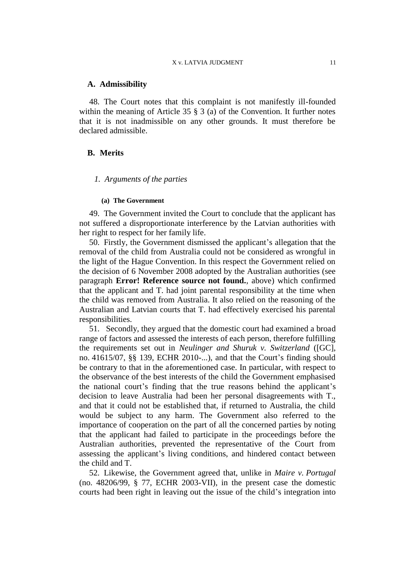#### **A. Admissibility**

48. The Court notes that this complaint is not manifestly ill-founded within the meaning of Article 35 § 3 (a) of the Convention. It further notes that it is not inadmissible on any other grounds. It must therefore be declared admissible.

## **B. Merits**

#### *1. Arguments of the parties*

#### **(a) The Government**

49. The Government invited the Court to conclude that the applicant has not suffered a disproportionate interference by the Latvian authorities with her right to respect for her family life.

50. Firstly, the Government dismissed the applicant's allegation that the removal of the child from Australia could not be considered as wrongful in the light of the Hague Convention. In this respect the Government relied on the decision of 6 November 2008 adopted by the Australian authorities (see paragraph **Error! Reference source not found.**, above) which confirmed that the applicant and T. had joint parental responsibility at the time when the child was removed from Australia. It also relied on the reasoning of the Australian and Latvian courts that T. had effectively exercised his parental responsibilities.

51. Secondly, they argued that the domestic court had examined a broad range of factors and assessed the interests of each person, therefore fulfilling the requirements set out in *Neulinger and Shuruk v. Switzerland* ([GC], no. 41615/07, §§ 139, ECHR 2010-...), and that the Court's finding should be contrary to that in the aforementioned case. In particular, with respect to the observance of the best interests of the child the Government emphasised the national court's finding that the true reasons behind the applicant's decision to leave Australia had been her personal disagreements with T., and that it could not be established that, if returned to Australia, the child would be subject to any harm. The Government also referred to the importance of cooperation on the part of all the concerned parties by noting that the applicant had failed to participate in the proceedings before the Australian authorities, prevented the representative of the Court from assessing the applicant's living conditions, and hindered contact between the child and T.

52. Likewise, the Government agreed that, unlike in *Maire v. Portugal*  (no. 48206/99, § 77, ECHR 2003-VII), in the present case the domestic courts had been right in leaving out the issue of the child's integration into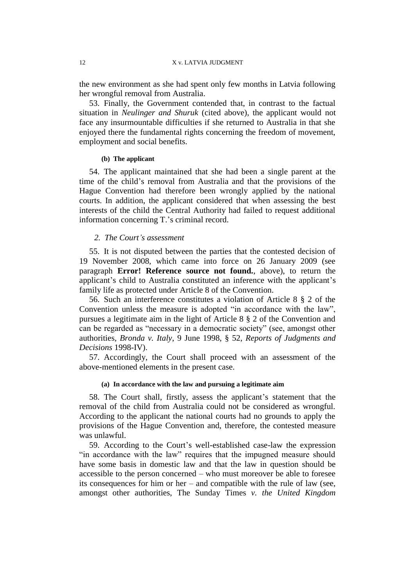the new environment as she had spent only few months in Latvia following her wrongful removal from Australia.

53. Finally, the Government contended that, in contrast to the factual situation in *Neulinger and Shuruk* (cited above), the applicant would not face any insurmountable difficulties if she returned to Australia in that she enjoyed there the fundamental rights concerning the freedom of movement, employment and social benefits.

#### **(b) The applicant**

54. The applicant maintained that she had been a single parent at the time of the child's removal from Australia and that the provisions of the Hague Convention had therefore been wrongly applied by the national courts. In addition, the applicant considered that when assessing the best interests of the child the Central Authority had failed to request additional information concerning T.'s criminal record.

## *2. The Court's assessment*

55. It is not disputed between the parties that the contested decision of 19 November 2008, which came into force on 26 January 2009 (see paragraph **Error! Reference source not found.**, above), to return the applicant's child to Australia constituted an inference with the applicant's family life as protected under Article 8 of the Convention.

56. Such an interference constitutes a violation of Article 8 § 2 of the Convention unless the measure is adopted "in accordance with the law", pursues a legitimate aim in the light of Article 8 § 2 of the Convention and can be regarded as "necessary in a democratic society" (see, amongst other authorities, *Bronda v. Italy*, 9 June 1998, § 52, *Reports of Judgments and Decisions* 1998-IV).

57. Accordingly, the Court shall proceed with an assessment of the above-mentioned elements in the present case.

#### **(a) In accordance with the law and pursuing a legitimate aim**

58. The Court shall, firstly, assess the applicant's statement that the removal of the child from Australia could not be considered as wrongful. According to the applicant the national courts had no grounds to apply the provisions of the Hague Convention and, therefore, the contested measure was unlawful.

59. According to the Court's well-established case-law the expression "in accordance with the law" requires that the impugned measure should have some basis in domestic law and that the law in question should be accessible to the person concerned – who must moreover be able to foresee its consequences for him or her – and compatible with the rule of law (see, amongst other authorities, The Sunday Times *v. the United Kingdom*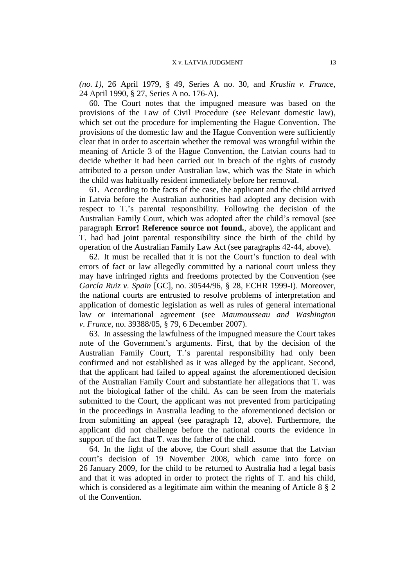*(no. 1)*, 26 April 1979, § 49, Series A no. 30, and *Kruslin v. France*, 24 April 1990, § 27, Series A no. 176-A).

60. The Court notes that the impugned measure was based on the provisions of the Law of Civil Procedure (see Relevant domestic law), which set out the procedure for implementing the Hague Convention. The provisions of the domestic law and the Hague Convention were sufficiently clear that in order to ascertain whether the removal was wrongful within the meaning of Article 3 of the Hague Convention, the Latvian courts had to decide whether it had been carried out in breach of the rights of custody attributed to a person under Australian law, which was the State in which the child was habitually resident immediately before her removal.

61. According to the facts of the case, the applicant and the child arrived in Latvia before the Australian authorities had adopted any decision with respect to T.'s parental responsibility. Following the decision of the Australian Family Court, which was adopted after the child's removal (see paragraph **Error! Reference source not found.**, above), the applicant and T. had had joint parental responsibility since the birth of the child by operation of the Australian Family Law Act (see paragraphs 42-44, above).

62. It must be recalled that it is not the Court's function to deal with errors of fact or law allegedly committed by a national court unless they may have infringed rights and freedoms protected by the Convention (see *García Ruiz v. Spain* [GC], no. 30544/96, § 28, ECHR 1999-I). Moreover, the national courts are entrusted to resolve problems of interpretation and application of domestic legislation as well as rules of general international law or international agreement (see *Maumousseau and Washington v. France*, no. 39388/05, § 79, 6 December 2007).

63. In assessing the lawfulness of the impugned measure the Court takes note of the Government's arguments. First, that by the decision of the Australian Family Court, T.'s parental responsibility had only been confirmed and not established as it was alleged by the applicant. Second, that the applicant had failed to appeal against the aforementioned decision of the Australian Family Court and substantiate her allegations that T. was not the biological father of the child. As can be seen from the materials submitted to the Court, the applicant was not prevented from participating in the proceedings in Australia leading to the aforementioned decision or from submitting an appeal (see paragraph 12, above). Furthermore, the applicant did not challenge before the national courts the evidence in support of the fact that T. was the father of the child.

64. In the light of the above, the Court shall assume that the Latvian court's decision of 19 November 2008, which came into force on 26 January 2009, for the child to be returned to Australia had a legal basis and that it was adopted in order to protect the rights of T. and his child, which is considered as a legitimate aim within the meaning of Article 8  $\S$  2 of the Convention.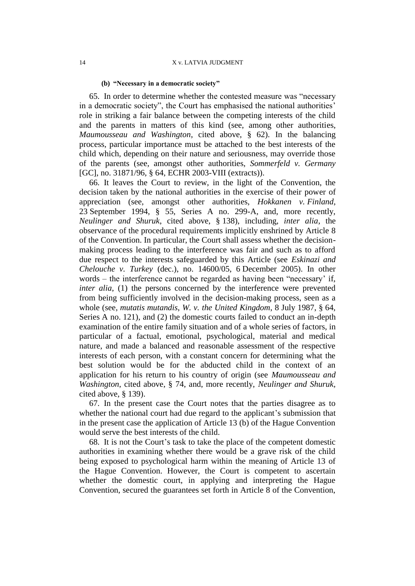#### **(b) "Necessary in a democratic society"**

65. In order to determine whether the contested measure was "necessary in a democratic society", the Court has emphasised the national authorities' role in striking a fair balance between the competing interests of the child and the parents in matters of this kind (see, among other authorities, *Maumousseau and Washington*, cited above, § 62). In the balancing process, particular importance must be attached to the best interests of the child which, depending on their nature and seriousness, may override those of the parents (see, amongst other authorities, *Sommerfeld v. Germany*  [GC], no. 31871/96, § 64, ECHR 2003-VIII (extracts)).

66. It leaves the Court to review, in the light of the Convention, the decision taken by the national authorities in the exercise of their power of appreciation (see, amongst other authorities, *Hokkanen v. Finland*, 23 September 1994, § 55, Series A no. 299-A, and, more recently, *Neulinger and Shuruk*, cited above, § 138), including, *inter alia*, the observance of the procedural requirements implicitly enshrined by Article 8 of the Convention. In particular, the Court shall assess whether the decisionmaking process leading to the interference was fair and such as to afford due respect to the interests safeguarded by this Article (see *Eskinazi and Chelouche v. Turkey* (dec.), no. 14600/05, 6 December 2005). In other words – the interference cannot be regarded as having been "necessary' if, *inter alia*, (1) the persons concerned by the interference were prevented from being sufficiently involved in the decision-making process, seen as a whole (see, *mutatis mutandis*, *W. v. the United Kingdom*, 8 July 1987, § 64, Series A no. 121), and (2) the domestic courts failed to conduct an in-depth examination of the entire family situation and of a whole series of factors, in particular of a factual, emotional, psychological, material and medical nature, and made a balanced and reasonable assessment of the respective interests of each person, with a constant concern for determining what the best solution would be for the abducted child in the context of an application for his return to his country of origin (see *Maumousseau and Washington*, cited above, § 74, and, more recently, *Neulinger and Shuruk,*  cited above, § 139).

67. In the present case the Court notes that the parties disagree as to whether the national court had due regard to the applicant's submission that in the present case the application of Article 13 (b) of the Hague Convention would serve the best interests of the child.

68. It is not the Court's task to take the place of the competent domestic authorities in examining whether there would be a grave risk of the child being exposed to psychological harm within the meaning of Article 13 of the Hague Convention. However, the Court is competent to ascertain whether the domestic court, in applying and interpreting the Hague Convention, secured the guarantees set forth in Article 8 of the Convention,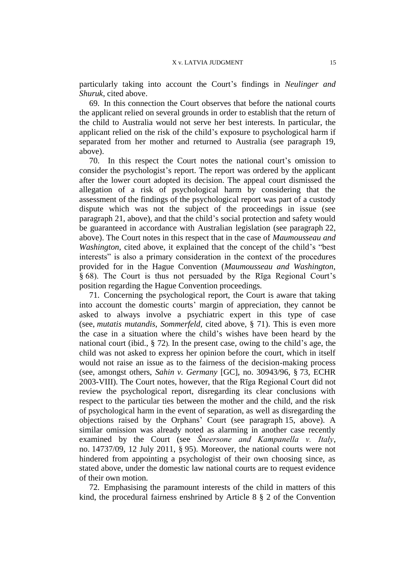particularly taking into account the Court's findings in *Neulinger and Shuruk*, cited above.

69. In this connection the Court observes that before the national courts the applicant relied on several grounds in order to establish that the return of the child to Australia would not serve her best interests. In particular, the applicant relied on the risk of the child's exposure to psychological harm if separated from her mother and returned to Australia (see paragraph 19, above).

70. In this respect the Court notes the national court's omission to consider the psychologist's report. The report was ordered by the applicant after the lower court adopted its decision. The appeal court dismissed the allegation of a risk of psychological harm by considering that the assessment of the findings of the psychological report was part of a custody dispute which was not the subject of the proceedings in issue (see paragraph 21, above), and that the child's social protection and safety would be guaranteed in accordance with Australian legislation (see paragraph 22, above). The Court notes in this respect that in the case of *Maumousseau and Washington*, cited above, it explained that the concept of the child's "best interests" is also a primary consideration in the context of the procedures provided for in the Hague Convention (*Maumousseau and Washington*, § 68). The Court is thus not persuaded by the Rīga Regional Court's position regarding the Hague Convention proceedings.

71. Concerning the psychological report, the Court is aware that taking into account the domestic courts' margin of appreciation, they cannot be asked to always involve a psychiatric expert in this type of case (see, *mutatis mutandis*, *Sommerfeld,* cited above, § 71). This is even more the case in a situation where the child's wishes have been heard by the national court (ibid., § 72). In the present case, owing to the child's age, the child was not asked to express her opinion before the court, which in itself would not raise an issue as to the fairness of the decision-making process (see, amongst others, *Sahin v. Germany* [GC], no. 30943/96, § 73, ECHR 2003-VIII). The Court notes, however, that the Rīga Regional Court did not review the psychological report, disregarding its clear conclusions with respect to the particular ties between the mother and the child, and the risk of psychological harm in the event of separation, as well as disregarding the objections raised by the Orphans' Court (see paragraph 15, above). A similar omission was already noted as alarming in another case recently examined by the Court (see *Šneersone and Kampanella v. Italy*, no. 14737/09, 12 July 2011, § 95). Moreover, the national courts were not hindered from appointing a psychologist of their own choosing since, as stated above, under the domestic law national courts are to request evidence of their own motion.

72. Emphasising the paramount interests of the child in matters of this kind, the procedural fairness enshrined by Article 8 § 2 of the Convention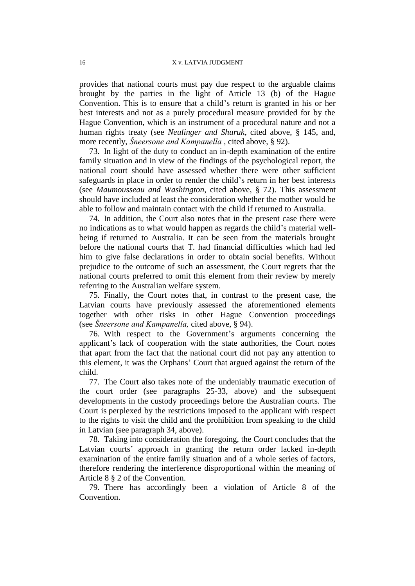provides that national courts must pay due respect to the arguable claims brought by the parties in the light of Article 13 (b) of the Hague Convention. This is to ensure that a child's return is granted in his or her best interests and not as a purely procedural measure provided for by the Hague Convention, which is an instrument of a procedural nature and not a human rights treaty (see *Neulinger and Shuruk*, cited above, § 145, and, more recently, *Šneersone and Kampanella* , cited above, § 92).

73. In light of the duty to conduct an in-depth examination of the entire family situation and in view of the findings of the psychological report, the national court should have assessed whether there were other sufficient safeguards in place in order to render the child's return in her best interests (see *Maumousseau and Washington*, cited above, § 72). This assessment should have included at least the consideration whether the mother would be able to follow and maintain contact with the child if returned to Australia.

74. In addition, the Court also notes that in the present case there were no indications as to what would happen as regards the child's material wellbeing if returned to Australia. It can be seen from the materials brought before the national courts that T. had financial difficulties which had led him to give false declarations in order to obtain social benefits. Without prejudice to the outcome of such an assessment, the Court regrets that the national courts preferred to omit this element from their review by merely referring to the Australian welfare system.

75. Finally, the Court notes that, in contrast to the present case, the Latvian courts have previously assessed the aforementioned elements together with other risks in other Hague Convention proceedings (see *Šneersone and Kampanella,* cited above, § 94).

76. With respect to the Government's arguments concerning the applicant's lack of cooperation with the state authorities, the Court notes that apart from the fact that the national court did not pay any attention to this element, it was the Orphans' Court that argued against the return of the child.

77. The Court also takes note of the undeniably traumatic execution of the court order (see paragraphs 25-33, above) and the subsequent developments in the custody proceedings before the Australian courts. The Court is perplexed by the restrictions imposed to the applicant with respect to the rights to visit the child and the prohibition from speaking to the child in Latvian (see paragraph 34, above).

78. Taking into consideration the foregoing, the Court concludes that the Latvian courts' approach in granting the return order lacked in-depth examination of the entire family situation and of a whole series of factors, therefore rendering the interference disproportional within the meaning of Article 8 § 2 of the Convention.

79. There has accordingly been a violation of Article 8 of the Convention.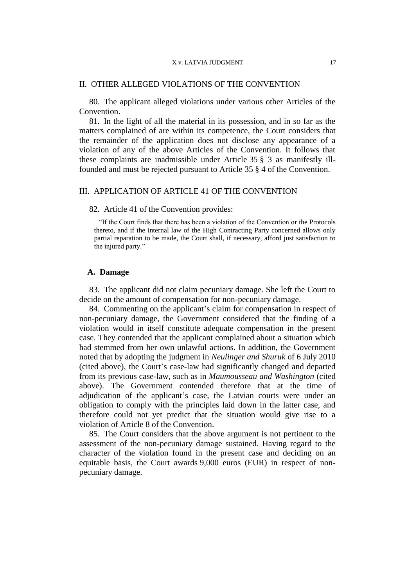## II. OTHER ALLEGED VIOLATIONS OF THE CONVENTION

80. The applicant alleged violations under various other Articles of the Convention.

81. In the light of all the material in its possession, and in so far as the matters complained of are within its competence, the Court considers that the remainder of the application does not disclose any appearance of a violation of any of the above Articles of the Convention. It follows that these complaints are inadmissible under Article 35 § 3 as manifestly illfounded and must be rejected pursuant to Article 35 § 4 of the Convention.

## III. APPLICATION OF ARTICLE 41 OF THE CONVENTION

#### 82. Article 41 of the Convention provides:

"If the Court finds that there has been a violation of the Convention or the Protocols thereto, and if the internal law of the High Contracting Party concerned allows only partial reparation to be made, the Court shall, if necessary, afford just satisfaction to the injured party."

## **A. Damage**

83. The applicant did not claim pecuniary damage. She left the Court to decide on the amount of compensation for non-pecuniary damage.

84. Commenting on the applicant's claim for compensation in respect of non-pecuniary damage, the Government considered that the finding of a violation would in itself constitute adequate compensation in the present case. They contended that the applicant complained about a situation which had stemmed from her own unlawful actions. In addition, the Government noted that by adopting the judgment in *Neulinger and Shuruk* of 6 July 2010 (cited above), the Court's case-law had significantly changed and departed from its previous case-law, such as in *Maumousseau and Washington* (cited above). The Government contended therefore that at the time of adjudication of the applicant's case, the Latvian courts were under an obligation to comply with the principles laid down in the latter case, and therefore could not yet predict that the situation would give rise to a violation of Article 8 of the Convention.

85. The Court considers that the above argument is not pertinent to the assessment of the non-pecuniary damage sustained. Having regard to the character of the violation found in the present case and deciding on an equitable basis, the Court awards 9,000 euros (EUR) in respect of nonpecuniary damage.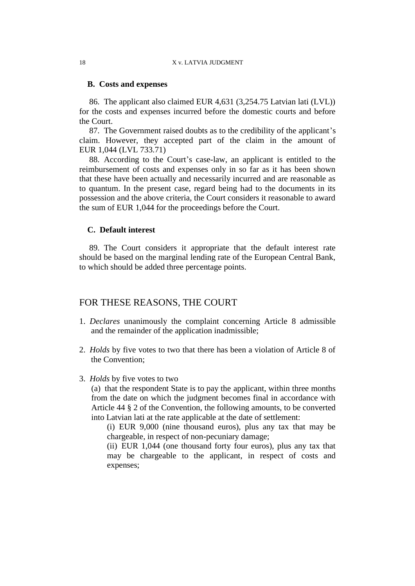## **B. Costs and expenses**

86. The applicant also claimed EUR 4,631 (3,254.75 Latvian lati (LVL)) for the costs and expenses incurred before the domestic courts and before the Court.

87. The Government raised doubts as to the credibility of the applicant's claim. However, they accepted part of the claim in the amount of EUR 1,044 (LVL 733.71)

88. According to the Court's case-law, an applicant is entitled to the reimbursement of costs and expenses only in so far as it has been shown that these have been actually and necessarily incurred and are reasonable as to quantum. In the present case, regard being had to the documents in its possession and the above criteria, the Court considers it reasonable to award the sum of EUR 1,044 for the proceedings before the Court.

#### **C. Default interest**

89. The Court considers it appropriate that the default interest rate should be based on the marginal lending rate of the European Central Bank, to which should be added three percentage points.

## FOR THESE REASONS, THE COURT

- 1. *Declares* unanimously the complaint concerning Article 8 admissible and the remainder of the application inadmissible;
- 2. *Holds* by five votes to two that there has been a violation of Article 8 of the Convention;
- 3. *Holds* by five votes to two

(a) that the respondent State is to pay the applicant, within three months from the date on which the judgment becomes final in accordance with Article 44 § 2 of the Convention, the following amounts, to be converted into Latvian lati at the rate applicable at the date of settlement:

(i) EUR 9,000 (nine thousand euros), plus any tax that may be chargeable, in respect of non-pecuniary damage;

(ii) EUR 1,044 (one thousand forty four euros), plus any tax that may be chargeable to the applicant, in respect of costs and expenses;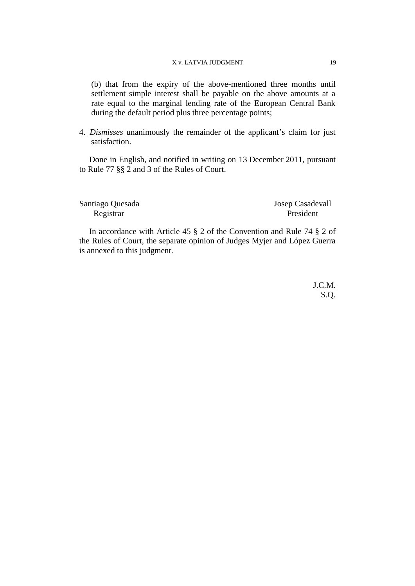(b) that from the expiry of the above-mentioned three months until settlement simple interest shall be payable on the above amounts at a rate equal to the marginal lending rate of the European Central Bank during the default period plus three percentage points;

4. *Dismisses* unanimously the remainder of the applicant's claim for just satisfaction.

Done in English, and notified in writing on 13 December 2011, pursuant to Rule 77 §§ 2 and 3 of the Rules of Court.

Santiago Quesada Josep Casadevall Registrar President

In accordance with Article 45 § 2 of the Convention and Rule 74 § 2 of the Rules of Court, the separate opinion of Judges Myjer and López Guerra is annexed to this judgment.

> J.C.M. S.Q.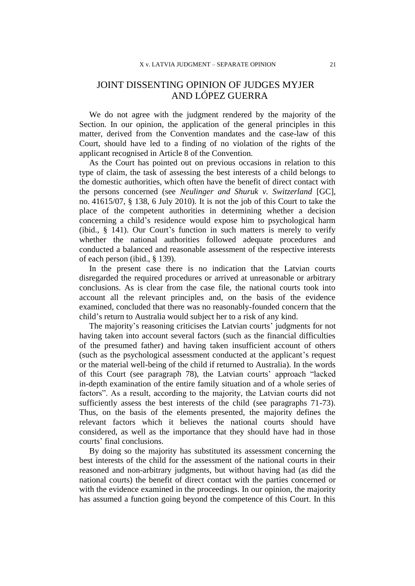## JOINT DISSENTING OPINION OF JUDGES MYJER AND LÓPEZ GUERRA

We do not agree with the judgment rendered by the majority of the Section. In our opinion, the application of the general principles in this matter, derived from the Convention mandates and the case-law of this Court, should have led to a finding of no violation of the rights of the applicant recognised in Article 8 of the Convention.

As the Court has pointed out on previous occasions in relation to this type of claim, the task of assessing the best interests of a child belongs to the domestic authorities, which often have the benefit of direct contact with the persons concerned (see *Neulinger and Shuruk v. Switzerland* [GC], no. 41615/07, § 138, 6 July 2010). It is not the job of this Court to take the place of the competent authorities in determining whether a decision concerning a child's residence would expose him to psychological harm (ibid., § 141). Our Court's function in such matters is merely to verify whether the national authorities followed adequate procedures and conducted a balanced and reasonable assessment of the respective interests of each person (ibid., § 139).

In the present case there is no indication that the Latvian courts disregarded the required procedures or arrived at unreasonable or arbitrary conclusions. As is clear from the case file, the national courts took into account all the relevant principles and, on the basis of the evidence examined, concluded that there was no reasonably-founded concern that the child's return to Australia would subject her to a risk of any kind.

The majority's reasoning criticises the Latvian courts' judgments for not having taken into account several factors (such as the financial difficulties of the presumed father) and having taken insufficient account of others (such as the psychological assessment conducted at the applicant's request or the material well-being of the child if returned to Australia). In the words of this Court (see paragraph 78), the Latvian courts' approach "lacked in-depth examination of the entire family situation and of a whole series of factors". As a result, according to the majority, the Latvian courts did not sufficiently assess the best interests of the child (see paragraphs 71-73). Thus, on the basis of the elements presented, the majority defines the relevant factors which it believes the national courts should have considered, as well as the importance that they should have had in those courts' final conclusions.

By doing so the majority has substituted its assessment concerning the best interests of the child for the assessment of the national courts in their reasoned and non-arbitrary judgments, but without having had (as did the national courts) the benefit of direct contact with the parties concerned or with the evidence examined in the proceedings. In our opinion, the majority has assumed a function going beyond the competence of this Court. In this